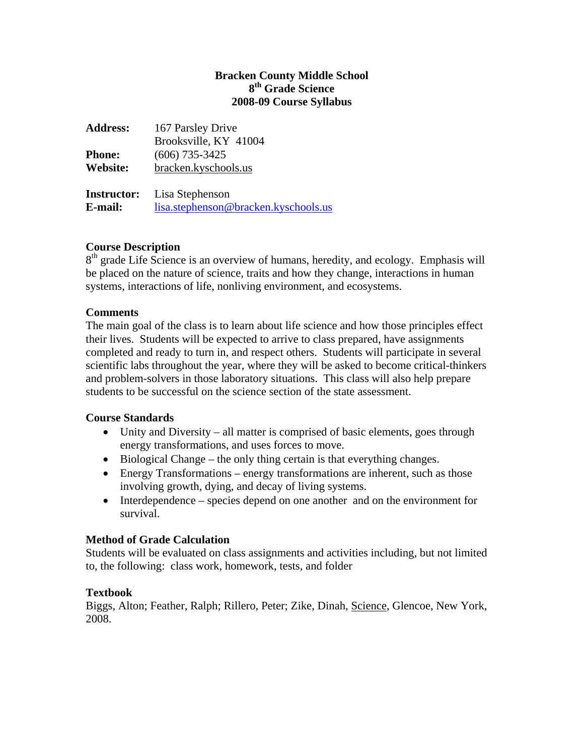## **Bracken County Middle School 8th Grade Science 2008-09 Course Syllabus**

| <b>Address:</b>    | 167 Parsley Drive                    |
|--------------------|--------------------------------------|
|                    | Brooksville, KY 41004                |
| <b>Phone:</b>      | $(606)$ 735-3425                     |
| Website:           | bracken.kyschools.us                 |
| <b>Instructor:</b> | Lisa Stephenson                      |
| E-mail:            | lisa.stephenson@bracken.kyschools.us |

## **Course Description**

 $8<sup>th</sup>$  grade Life Science is an overview of humans, heredity, and ecology. Emphasis will be placed on the nature of science, traits and how they change, interactions in human systems, interactions of life, nonliving environment, and ecosystems.

## **Comments**

The main goal of the class is to learn about life science and how those principles effect their lives. Students will be expected to arrive to class prepared, have assignments completed and ready to turn in, and respect others. Students will participate in several scientific labs throughout the year, where they will be asked to become critical-thinkers and problem-solvers in those laboratory situations. This class will also help prepare students to be successful on the science section of the state assessment.

#### **Course Standards**

- Unity and Diversity all matter is comprised of basic elements, goes through energy transformations, and uses forces to move.
- Biological Change the only thing certain is that everything changes.
- Energy Transformations energy transformations are inherent, such as those involving growth, dying, and decay of living systems.
- Interdependence species depend on one another and on the environment for survival.

## **Method of Grade Calculation**

Students will be evaluated on class assignments and activities including, but not limited to, the following: class work, homework, tests, and folder

#### **Textbook**

Biggs, Alton; Feather, Ralph; Rillero, Peter; Zike, Dinah, Science, Glencoe, New York, 2008.